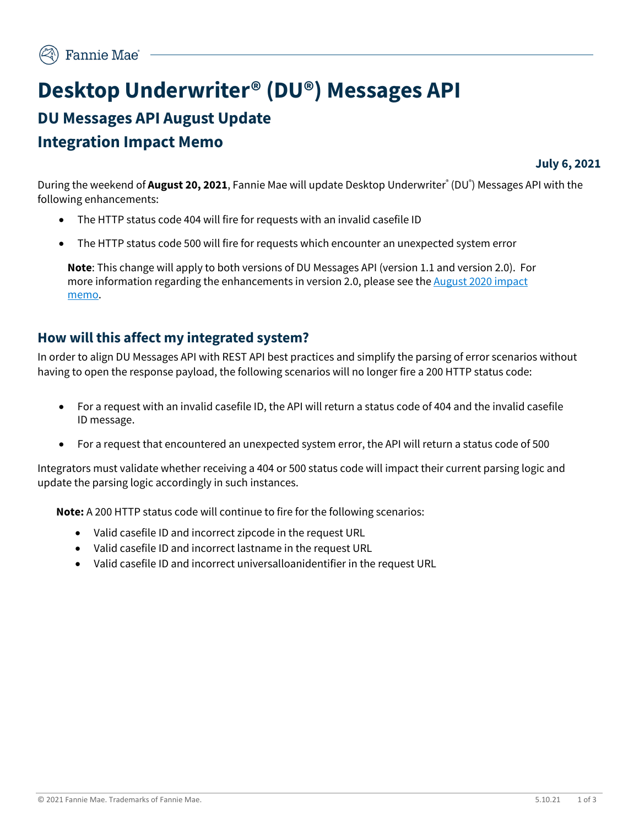# **Desktop Underwriter® (DU®) Messages API DU Messages API August Update Integration Impact Memo**

**July 6, 2021**

During the weekend of **August 20, 2021**, Fannie Mae will update Desktop Underwriter® (DU® ) Messages API with the following enhancements:

- The HTTP status code 404 will fire for requests with an invalid casefile ID
- The HTTP status code 500 will fire for requests which encounter an unexpected system error

**Note**: This change will apply to both versions of DU Messages API (version 1.1 and version 2.0). For more information regarding the enhancements in version 2.0, please see the August 2020 impact [memo.](https://singlefamily.fanniemae.com/media/23601/display)

### **How will this affect my integrated system?**

In order to align DU Messages API with REST API best practices and simplify the parsing of error scenarios without having to open the response payload, the following scenarios will no longer fire a 200 HTTP status code:

- For a request with an invalid casefile ID, the API will return a status code of 404 and the invalid casefile ID message.
- For a request that encountered an unexpected system error, the API will return a status code of 500

Integrators must validate whether receiving a 404 or 500 status code will impact their current parsing logic and update the parsing logic accordingly in such instances.

**Note:** A 200 HTTP status code will continue to fire for the following scenarios:

- Valid casefile ID and incorrect zipcode in the request URL
- Valid casefile ID and incorrect lastname in the request URL
- Valid casefile ID and incorrect universalloanidentifier in the request URL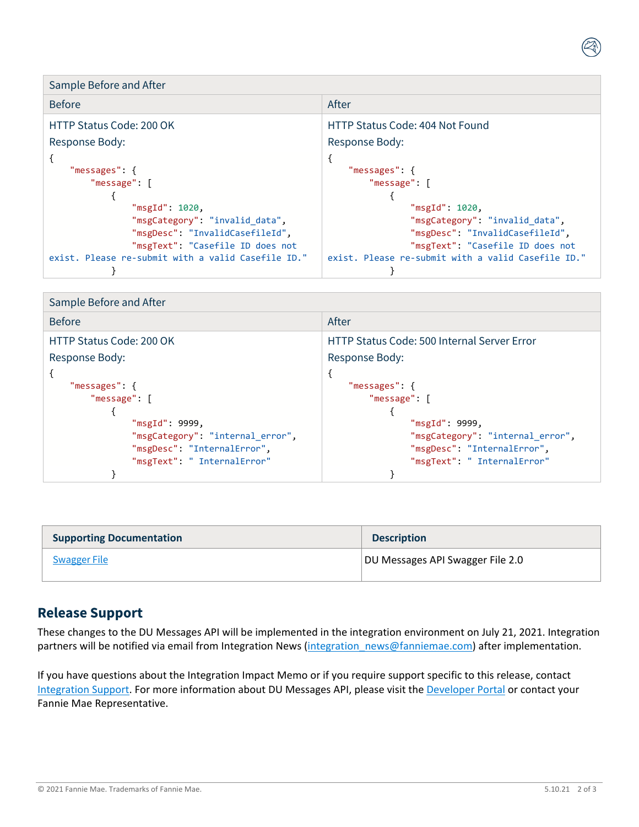Sample Before and After Before After After After After After After HTTP Status Code: 200 OK Response Body: "messages": { "message": [  $\{$  "msgId": 1020, "msgCategory": "invalid\_data", "msgDesc": "InvalidCasefileId", "msgText": "Casefile ID does not exist. Please re-submit with a valid Casefile ID." HTTP Status Code: 404 Not Found Response Body: { "messages": { "message": [  $\{$  "msgId": 1020, "msgCategory": "invalid\_data", "msgDesc": "InvalidCasefileId", "msgText": "Casefile ID does not exist. Please re-submit with a valid Casefile ID."

}

| Sample Before and After                                                                                                                                  |                                                                                                                                                   |
|----------------------------------------------------------------------------------------------------------------------------------------------------------|---------------------------------------------------------------------------------------------------------------------------------------------------|
| <b>Before</b>                                                                                                                                            | After                                                                                                                                             |
| HTTP Status Code: 200 OK                                                                                                                                 | <b>HTTP Status Code: 500 Internal Server Error</b>                                                                                                |
| Response Body:                                                                                                                                           | Response Body:                                                                                                                                    |
| "messages": {<br>"message": $\Gamma$<br>"msgId": 9999,<br>"msgCategory": "internal error",<br>"msgDesc": "InternalError",<br>"msgText": " InternalError" | "messages": {<br>"message": [<br>"msgId": 9999,<br>"msgCategory": "internal_error",<br>"msgDesc": "InternalError",<br>"msgText": " InternalError" |
|                                                                                                                                                          |                                                                                                                                                   |

| <b>Supporting Documentation</b> | <b>Description</b>               |
|---------------------------------|----------------------------------|
| <b>Swagger File</b>             | DU Messages API Swagger File 2.0 |

### **Release Support**

{

}

These changes to the DU Messages API will be implemented in the integration environment on July 21, 2021. Integration partners will be notified via email from Integration News (integration news@fanniemae.com) after implementation.

If you have questions about the Integration Impact Memo or if you require support specific to this release, contact [Integration Support.](mailto:Integration_Support@FannieMae.com) For more information about DU Messages API, please visit the [Developer Portal](http://developer.fanniemae.com/) or contact your Fannie Mae Representative.

#### © 2021 Fannie Mae. Trademarks of Fannie Mae. 5.10.21 2 of 3